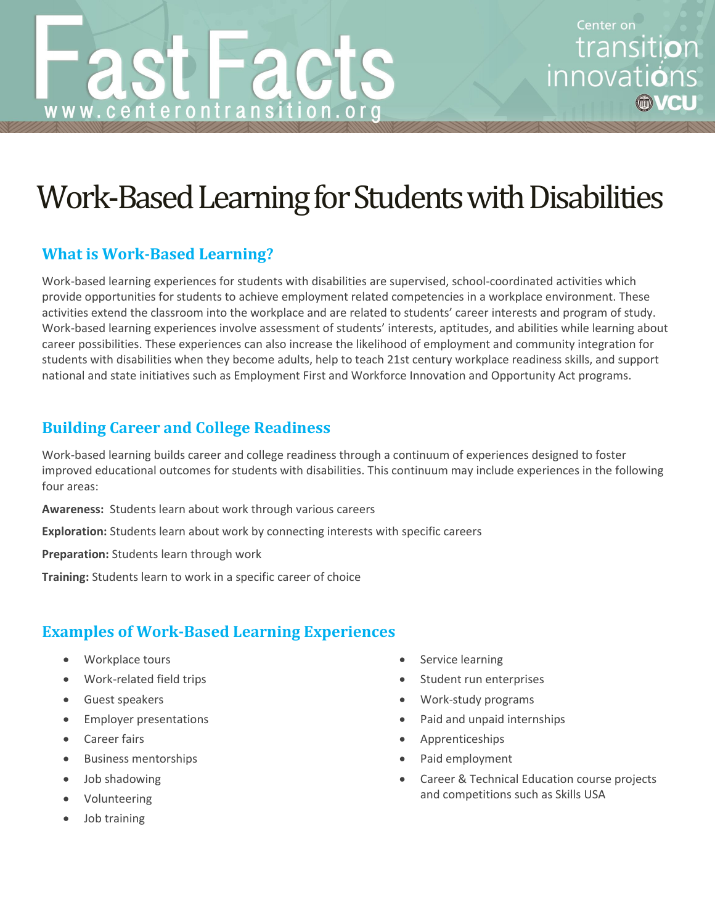# Work-Based Learning for Students with Disabilities

**ac** 

#### **What is Work-Based Learning?**

www.centerontransit

Work-based learning experiences for students with disabilities are supervised, school-coordinated activities which provide opportunities for students to achieve employment related competencies in a workplace environment. These activities extend the classroom into the workplace and are related to students' career interests and program of study. Work-based learning experiences involve assessment of students' interests, aptitudes, and abilities while learning about career possibilities. These experiences can also increase the likelihood of employment and community integration for students with disabilities when they become adults, help to teach 21st century workplace readiness skills, and support national and state initiatives such as Employment First and Workforce Innovation and Opportunity Act programs.

## **Building Career and College Readiness**

Work-based learning builds career and college readiness through a continuum of experiences designed to foster improved educational outcomes for students with disabilities. This continuum may include experiences in the following four areas:

**Awareness:** Students learn about work through various careers

**Exploration:** Students learn about work by connecting interests with specific careers

**Preparation:** Students learn through work

**Training:** Students learn to work in a specific career of choice

## **Examples of Work-Based Learning Experiences**

- Workplace tours
- Work-related field trips
- Guest speakers
- **•** Employer presentations
- Career fairs
- **•** Business mentorships
- Job shadowing
- Volunteering
- Job training
- Service learning
- Student run enterprises
- Work-study programs
- Paid and unpaid internships
- Apprenticeships
- Paid employment
- Career & Technical Education course projects and competitions such as Skills USA